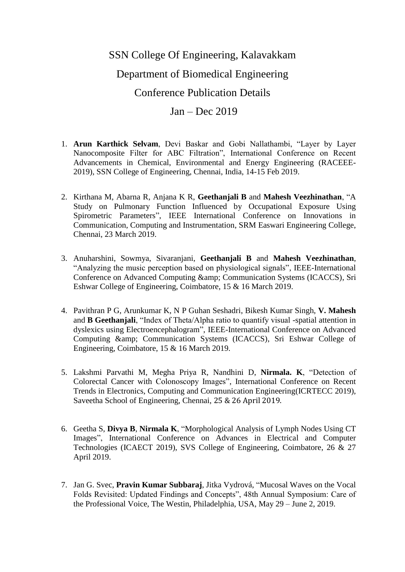## SSN College Of Engineering, Kalavakkam Department of Biomedical Engineering Conference Publication Details

## Jan – Dec 2019

- 1. **Arun Karthick Selvam**, Devi Baskar and Gobi Nallathambi, "Layer by Layer Nanocomposite Filter for ABC Filtration", International Conference on Recent Advancements in Chemical, Environmental and Energy Engineering (RACEEE-2019), SSN College of Engineering, Chennai, India, 14-15 Feb 2019.
- 2. Kirthana M, Abarna R, Anjana K R, **Geethanjali B** and **Mahesh Veezhinathan**, "A Study on Pulmonary Function Influenced by Occupational Exposure Using Spirometric Parameters", IEEE International Conference on Innovations in Communication, Computing and Instrumentation, SRM Easwari Engineering College, Chennai, 23 March 2019.
- 3. Anuharshini, Sowmya, Sivaranjani, **Geethanjali B** and **Mahesh Veezhinathan**, "Analyzing the music perception based on physiological signals", IEEE-International Conference on Advanced Computing & amp; Communication Systems (ICACCS), Sri Eshwar College of Engineering, Coimbatore, 15 & 16 March 2019.
- 4. Pavithran P G, Arunkumar K, N P Guhan Seshadri, Bikesh Kumar Singh, **V. Mahesh** and **B Geethanjali**, "Index of Theta/Alpha ratio to quantify visual -spatial attention in dyslexics using Electroencephalogram", IEEE-International Conference on Advanced Computing & amp; Communication Systems (ICACCS), Sri Eshwar College of Engineering, Coimbatore, 15 & 16 March 2019.
- 5. Lakshmi Parvathi M, Megha Priya R, Nandhini D, **Nirmala. K**, "Detection of Colorectal Cancer with Colonoscopy Images", International Conference on Recent Trends in Electronics, Computing and Communication Engineering(ICRTECC 2019), Saveetha School of Engineering, Chennai, 25 & 26 April 2019.
- 6. Geetha S, **Divya B**, **Nirmala K**, "Morphological Analysis of Lymph Nodes Using CT Images", International Conference on Advances in Electrical and Computer Technologies (ICAECT 2019), SVS College of Engineering, Coimbatore, 26 & 27 April 2019.
- 7. Jan G. Svec, **Pravin Kumar Subbaraj**, Jitka Vydrová, "Mucosal Waves on the Vocal Folds Revisited: Updated Findings and Concepts", 48th Annual Symposium: Care of the Professional Voice, The Westin, Philadelphia, USA, May 29 – June 2, 2019.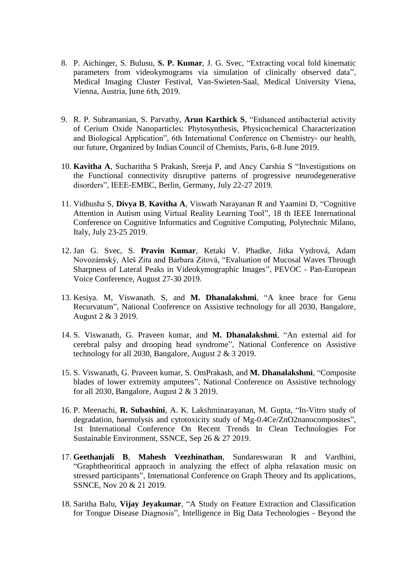- 8. P. Aichinger, S. Bulusu, **S. P. Kumar**, J. G. Svec, "Extracting vocal fold kinematic parameters from videokymograms via simulation of clinically observed data", Medical Imaging Cluster Festival, Van-Swieten-Saal, Medical University Viena, Vienna, Austria, June 6th, 2019.
- 9. R. P. Subramanian, S. Parvathy, **Arun Karthick S**, "Enhanced antibacterial activity of Cerium Oxide Nanoparticles: Phytosynthesis, Physicochemical Characterization and Biological Application", 6th International Conference on Chemistry- our health, our future, Organized by Indian Council of Chemists, Paris, 6-8 June 2019.
- 10. **Kavitha A**, Sucharitha S Prakash, Sreeja P, and Ancy Carshia S "Investigations on the Functional connectivity disruptive patterns of progressive neurodegenerative disorders", IEEE-EMBC, Berlin, Germany, July 22-27 2019.
- 11. Vidhusha S, **Divya B**, **Kavitha A**, Viswath Narayanan R and Yaamini D, "Cognitive Attention in Autism using Virtual Reality Learning Tool", 18 th IEEE International Conference on Cognitive Informatics and Cognitive Computing, Polytechnic Milano, Italy, July 23-25 2019.
- 12. Jan G. Svec, S. **Pravin Kumar**, Ketaki V. Phadke, Jitka Vydrová, Adam Novozámský, Aleš Zita and Barbara Zitová, "Evaluation of Mucosal Waves Through Sharpness of Lateral Peaks in Videokymographic Images", PEVOC - Pan-European Voice Conference, August 27-30 2019.
- 13. Kesiya. M, Viswanath. S, and **M. Dhanalakshmi**, "A knee brace for Genu Recurvatum", National Conference on Assistive technology for all 2030, Bangalore, August 2 & 3 2019.
- 14. S. Viswanath, G. Praveen kumar, and **M. Dhanalakshmi**, "An external aid for cerebral palsy and drooping head syndrome", National Conference on Assistive technology for all 2030, Bangalore, August 2 & 3 2019.
- 15. S. Viswanath, G. Praveen kumar, S. OmPrakash, and **M. Dhanalakshmi**, "Composite blades of lower extremity amputees", National Conference on Assistive technology for all 2030, Bangalore, August 2 & 3 2019.
- 16. P. Meenachi, **R. Subashini**, A. K. Lakshminarayanan, M. Gupta, "In-Vitro study of degradation, haemolysis and cytotoxicity study of Mg-0.4Ce/ZnO2nanocomposites", 1st International Conference On Recent Trends In Clean Technologies For Sustainable Environment, SSNCE, Sep 26 & 27 2019.
- 17. **Geethanjali B**, **Mahesh Veezhinathan**, Sundareswaran R and Vardhini, "Graphtheoritical appraoch in analyzing the effect of alpha relaxation music on stressed participants", International Conference on Graph Theory and Its applications, SSNCE, Nov 20 & 21 2019.
- 18. Saritha Balu, **Vijay Jeyakumar**, "A Study on Feature Extraction and Classification for Tongue Disease Diagnosis", Intelligence in Big Data Technologies - Beyond the